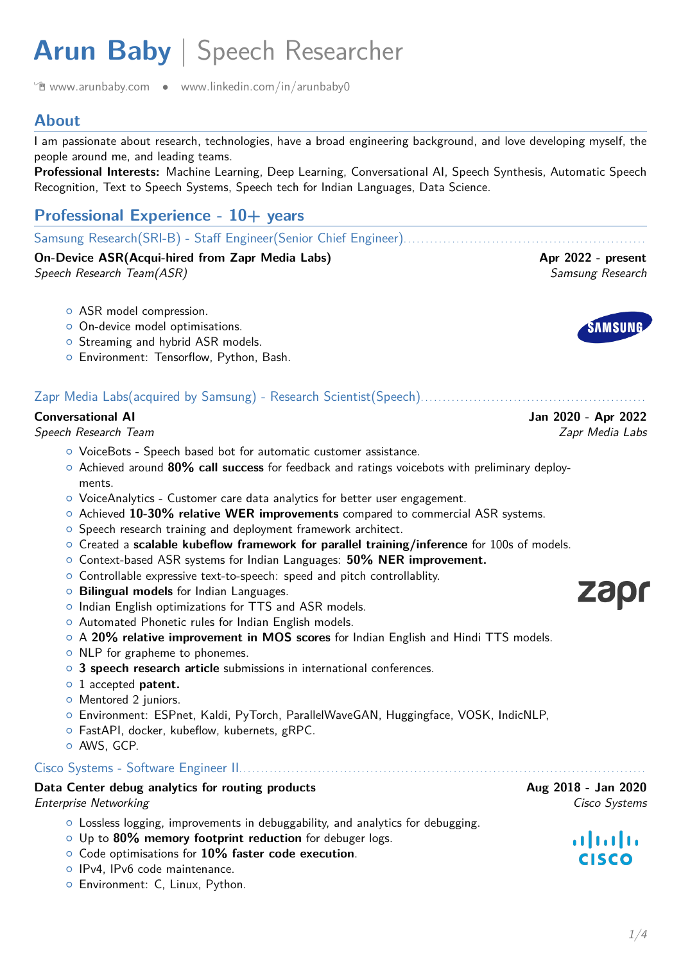# **Arun Baby** | Speech Researcher

 $\hat{P}$  [www.arunbaby.com](http://www.arunbaby.com) • www.linkedin.com/in/arunbaby0

# **About**

I am passionate about research, technologies, have a broad engineering background, and love developing myself, the people around me, and leading teams.

**Professional Interests:** Machine Learning, Deep Learning, Conversational AI, Speech Synthesis, Automatic Speech Recognition, Text to Speech Systems, Speech tech for Indian Languages, Data Science.

# **Professional Experience - 10+ years**

Samsung Research(SRI-B) - Staff Engineer(Senior Chief Engineer). . . . . . . . . . . . . . . . . . . . . . . . . . . . . . . . . . . . . . . . . . . . . . . . . . . . . . .

**[On-Device ASR\(Acqui-hired from Zapr Media Labs\)](https://research.samsung.com/sri-b) Apr 2022 - present** [Speech Research Team\(ASR\) Samsung Research](https://research.samsung.com/sri-b) Team(ASR)

- **O** ASR model compression.
- o On-device model optimisations.
- o Streaming and hybrid ASR models.
- **o** Environment: Tensorflow, Python, Bash.

#### Zapr Media Labs(acquired by Samsung) - Research Scientist(Speech).............................

[Speech Research Team Zapr Media Labs](https://www.zapr.in)

- { VoiceBots Speech based bot for automatic customer assistance.
- { Achieved around **80% call success** for feedback and ratings voicebots with preliminary deployments.
- { VoiceAnalytics Customer care data analytics for better user engagement.
- { Achieved **10-30% relative WER improvements** compared to commercial ASR systems.
- o Speech research training and deployment framework architect.
- { Created a **scalable kubeflow framework for parallel training/inference** for 100s of models.
- { Context-based ASR systems for Indian Languages: **50% NER improvement.**
- { Controllable expressive text-to-speech: speed and pitch controllablity.
- { **Bilingual models** for Indian Languages.
- o Indian English optimizations for TTS and ASR models.
- **O** Automated Phonetic rules for Indian English models.
- { A **20% relative improvement in MOS scores** for Indian English and Hindi TTS models.
- NLP for grapheme to phonemes.
- **3 speech research article** submissions in international conferences.
- { 1 accepted **patent.**
- o Mentored 2 juniors.

{ Environment: ESPnet, Kaldi, PyTorch, ParallelWaveGAN, Huggingface, VOSK, IndicNLP,

- { FastAPI, docker, kubeflow, kubernets, gRPC.
- { AWS, GCP.

#### Cisco Systems - Software Engineer II. . . . . . . . . . . . . . . . . . . . . . . . . . . . . . . . . . . . . . . . . . . . . . . . . . . . . . . . . . . . . . . . . . . . . . . . . . . . . . . . . . . . . . . . . . . . .

#### [Data Center debug analytics for routing products](https://www.cisco.com) **Aug 2018 - 12 Aug 2018 - Jan 2020**

- $\circ$  Lossless logging, improvements in debuggability, and analytics for debugging.
- { Up to **80% memory footprint reduction** for debuger logs.
- { Code optimisations for **10% faster code execution**.
- o IPv4. IPv6 code maintenance.
- $\circ$  Environment: C, Linux, Python.

[Enterprise Networking](https://www.cisco.com) **Contract [Cisco Systems](https://www.cisco.com)** Cisco Systems **Cisco Systems** 

# $(1)$  $(1)$  $(1)$ **CISCO**

1[/4](#page-3-0)



**SAMSUNG** 

**[Conversational AI](https://www.zapr.in) Jan 2020 - Apr 2022**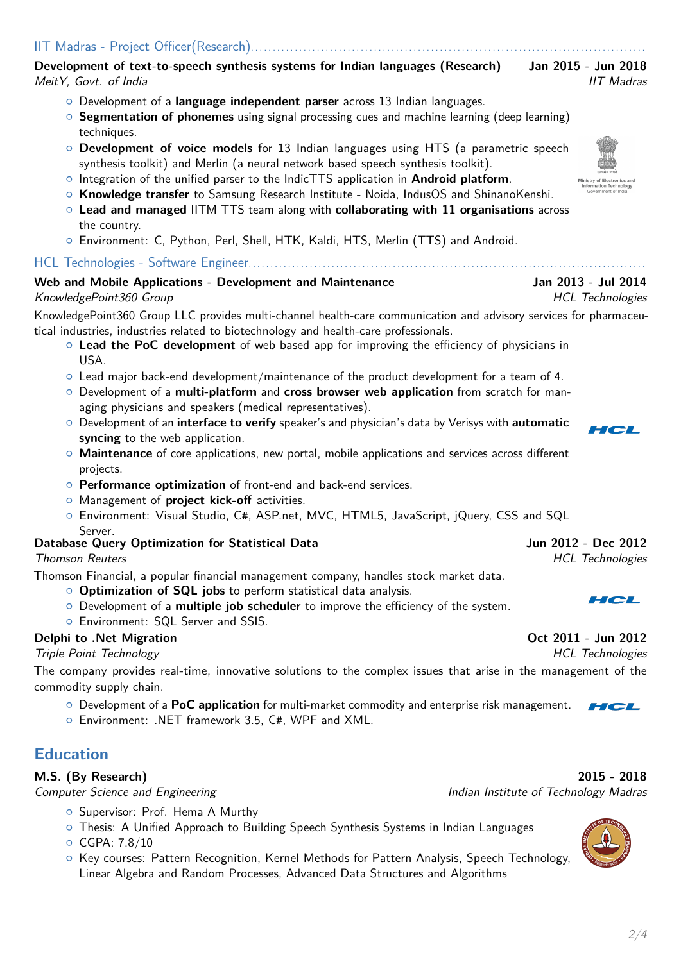# IIT Madras - Project Officer(Research). . . . . . . . . . . . . . . . . . . . . . . . . . . . . . . . . . . . . . . . . . . . . . . . . . . . . . . . . . . . . . . . . . . . . . . . . . . . . . . . . . . . . . . . . . **[Development of text-to-speech synthesis systems for Indian languages \(Research\)](https://www.iitm.ac.in/donlab/tts/index.php) Jan 2015 - Jun 2018** [MeitY, Govt. of India](http://meity.gov.in/) and a state of the state of the state of the state of the Madras and the Madras of the Madras

- { Development of a **[language independent parser](https://www.iitm.ac.in/donlab/tts/unified.php)** across 13 Indian languages.
- **Segmentation of phonemes** [using signal processing cues and machine learning \(deep learning\)](https://www.iitm.ac.in/donlab/tts/hybridSeg.php) [techniques.](https://www.iitm.ac.in/donlab/tts/hybridSeg.php)
- { **Development of voice models** [for 13 Indian languages using HTS \(a parametric speech](https://www.iitm.ac.in/donlab/tts/voices.php) [synthesis toolkit\) and Merlin \(a neural network based speech synthesis toolkit\).](https://www.iitm.ac.in/donlab/tts/voices.php)
- { [Integration of the unified parser to the IndicTTS application in](https://www.iitm.ac.in/donlab/tts/androidapp.php) **Android platform**.
- { **Knowledge transfer** to [Samsung Research Institute Noida,](http://www.samsung.com/in/aboutsamsung/samsungelectronics/india/rnd/) [IndusOS](http://www.indusos.com/) and [ShinanoKenshi.](http://www.shinanokenshi.com/)
- { **Lead and managed** IITM TTS team along with **collaborating with 11 organisations** across the country.
- $\circ$  Environment: C, Python, Perl, Shell, HTK, Kaldi, HTS, Merlin (TTS) and Android.

# HCL Technologies - Software Engineer. . . . . . . . . . . . . . . . . . . . . . . . . . . . . . . . . . . . . . . . . . . . . . . . . . . . . . . . . . . . . . . . . . . . . . . . . . . . . . . . . . . . . . . . . . .

### Web and Mobile Applications - Development and Maintenance **Jan 2013 - Jul 2014**

#### [KnowledgePoint360 Group](https://in.linkedin.com/company/knowledgepoint360-group-llc) **HCL Technologies**

KnowledgePoint360 Group LLC provides multi-channel health-care communication and advisory services for pharmaceutical industries, industries related to biotechnology and health-care professionals.

- { **Lead the PoC development** of web based app for improving the efficiency of physicians in USA.
- $\circ$  Lead major back-end development/maintenance of the product development for a team of 4.
- { Development of a **multi-platform** and **cross browser web application** from scratch for managing physicians and speakers (medical representatives).
- { Development of an **interface to verify** speaker's and physician's data by Verisys with **automatic syncing** to the web application.
- { **Maintenance** of core applications, new portal, mobile applications and services across different projects.
- { **Performance optimization** of front-end and back-end services.
- { Management of **project kick-off** activities.
- { Environment: Visual Studio, C#, ASP.net, MVC, HTML5, JavaScript, jQuery, CSS and SQL Server.

## Database Query Optimization for Statistical Data **Jun 2012 - Dec 2012**

Thomson Financial, a popular financial management company, handles stock market data.

- **Optimization of SQL jobs** to perform statistical data analysis.
- { Development of a **multiple job scheduler** to improve the efficiency of the system.
- **Environment: SQL Server and SSIS.**

### **Delphi to .Net Migration Contract Contract Contract Contract Contract Contract Contract Contract Contract Contract Contract Contract Contract Contract Contract Contract Contract Contract Contract Contract Contract Contrac**

### [Triple Point Technology](https://www.tpt.com/) [HCL Technologies](https://www.hcltech.com/)

The company provides real-time, innovative solutions to the complex issues that arise in the management of the commodity supply chain.

- <sup>o</sup> Development of a **PoC application** for multi-market commodity and enterprise risk management. **FICL**
- Environment: .NET framework 3.5, C#, WPF and XML.

# **Education**

#### **M.S. (By Research) 2015 - 2018**

[Computer Science and Engineering](http://www.cse.iitm.ac.in/) Theorem 1986 Computer Science and Engineering [Indian Institute of Technology Madras](https://www.iitm.ac.in/)

- { Supervisor: [Prof. Hema A Murthy](http://www.cse.iitm.ac.in/~hema/)
- o Thesis: A Unified Approach to Building Speech Synthesis Systems in Indian Languages
- $O$  CGPA:  $7.8/10$
- { Key courses: Pattern Recognition, Kernel Methods for Pattern Analysis, Speech Technology, Linear Algebra and Random Processes, Advanced Data Structures and Algorithms

# [Thomson Reuters](https://www.thomsonreuters.com/) **[HCL Technologies](https://www.hcltech.com/) HCL Technologies**



 $H \cap T$ 







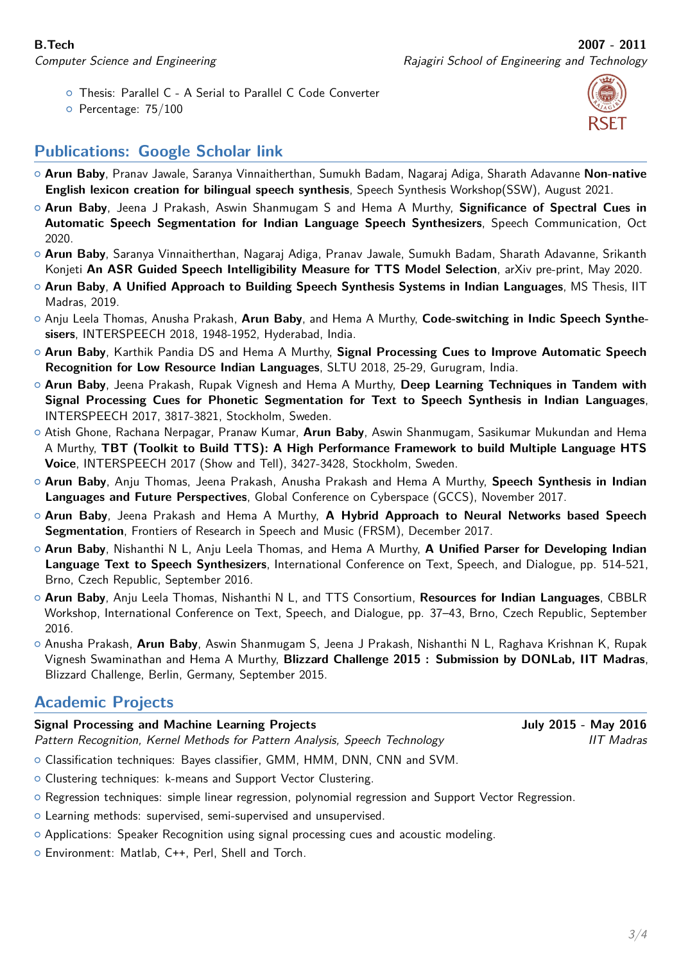- { Thesis: Parallel C A Serial to Parallel C Code Converter
- $\circ$  Percentage: 75/100



# **Publications: [Google Scholar link](https://scholar.google.co.in/citations?user=6fSYWhkAAAAJ&hl=en)**

- { **Arun Baby**, Pranav Jawale, Saranya Vinnaitherthan, Sumukh Badam, Nagaraj Adiga, Sharath Adavanne **Non-native English lexicon creation for bilingual speech synthesis**, Speech Synthesis Workshop(SSW), August 2021.
- { **Arun Baby**, Jeena J Prakash, Aswin Shanmugam S and Hema A Murthy, **Significance of Spectral Cues in Automatic Speech Segmentation for Indian Language Speech Synthesizers**, Speech Communication, Oct 2020.
- { **Arun Baby**, Saranya Vinnaitherthan, Nagaraj Adiga, Pranav Jawale, Sumukh Badam, Sharath Adavanne, Srikanth Konjeti **An ASR Guided Speech Intelligibility Measure for TTS Model Selection**, arXiv pre-print, May 2020.
- { **Arun Baby**, **A Unified Approach to Building Speech Synthesis Systems in Indian Languages**, MS Thesis, IIT Madras, 2019.
- { Anju Leela Thomas, Anusha Prakash, **Arun Baby**, and Hema A Murthy, **Code-switching in Indic Speech Synthesisers**, INTERSPEECH 2018, 1948-1952, Hyderabad, India.
- { **Arun Baby**, Karthik Pandia DS and Hema A Murthy, **Signal Processing Cues to Improve Automatic Speech Recognition for Low Resource Indian Languages**, SLTU 2018, 25-29, Gurugram, India.
- { **Arun Baby**[, Jeena Prakash, Rupak Vignesh and Hema A Murthy,](http://www.isca-speech.org/archive/Interspeech_2017/pdfs/0666.PDF) **Deep Learning Techniques in Tandem with [Signal Processing Cues for Phonetic Segmentation for Text to Speech Synthesis in Indian Languages](http://www.isca-speech.org/archive/Interspeech_2017/pdfs/0666.PDF)**, [INTERSPEECH 2017, 3817-3821, Stockholm, Sweden.](http://www.isca-speech.org/archive/Interspeech_2017/pdfs/0666.PDF)
- { Atish Ghone, Rachana Nerpagar, Pranaw Kumar, **Arun Baby**[, Aswin Shanmugam, Sasikumar Mukundan and Hema](https://www.iitm.ac.in/donlab/tts/downloads/publications/TBT.PDF) A Murthy, **[TBT \(Toolkit to Build TTS\): A High Performance Framework to build Multiple Language HTS](https://www.iitm.ac.in/donlab/tts/downloads/publications/TBT.PDF) Voice**[, INTERSPEECH 2017 \(Show and Tell\), 3427-3428, Stockholm, Sweden.](https://www.iitm.ac.in/donlab/tts/downloads/publications/TBT.PDF)
- { **Arun Baby**, Anju Thomas, Jeena Prakash, Anusha Prakash and Hema A Murthy, **Speech Synthesis in Indian Languages and Future Perspectives**, Global Conference on Cyberspace (GCCS), November 2017.
- { **Arun Baby**, Jeena Prakash and Hema A Murthy, **A Hybrid Approach to Neural Networks based Speech Segmentation**, Frontiers of Research in Speech and Music (FRSM), December 2017.
- { **Arun Baby**[, Nishanthi N L, Anju Leela Thomas, and Hema A Murthy,](https://www.iitm.ac.in/donlab/tts/downloads/unified/unified.pdf) **A Unified Parser for Developing Indian Language Text to Speech Synthesizers**[, International Conference on Text, Speech, and Dialogue, pp. 514-521,](https://www.iitm.ac.in/donlab/tts/downloads/unified/unified.pdf) [Brno, Czech Republic, September 2016.](https://www.iitm.ac.in/donlab/tts/downloads/unified/unified.pdf)
- { **Arun Baby**[, Anju Leela Thomas, Nishanthi N L, and TTS Consortium,](https://www.iitm.ac.in/donlab/tts/downloads/publications/resources.pdf) **Resources for Indian Languages**, CBBLR [Workshop, International Conference on Text, Speech, and Dialogue, pp. 37–43, Brno, Czech Republic, September](https://www.iitm.ac.in/donlab/tts/downloads/publications/resources.pdf) [2016.](https://www.iitm.ac.in/donlab/tts/downloads/publications/resources.pdf)
- { Anusha Prakash, **Arun Baby**[, Aswin Shanmugam S, Jeena J Prakash, Nishanthi N L, Raghava Krishnan K, Rupak](http://www.festvox.org/blizzard/bc2015/DONLab_IITM_bc2015.pdf) Vignesh Swaminathan and Hema A Murthy, **[Blizzard Challenge 2015 : Submission by DONLab, IIT Madras](http://www.festvox.org/blizzard/bc2015/DONLab_IITM_bc2015.pdf)**, [Blizzard Challenge, Berlin, Germany, September 2015.](http://www.festvox.org/blizzard/bc2015/DONLab_IITM_bc2015.pdf)

# **Academic Projects**

### **Signal Processing and Machine Learning Projects July 2015 - May 2016**

Pattern Recognition, Kernel Methods for Pattern Analysis, Speech Technology **IIT Madras** IIT Madras

- $\circ$  Classification techniques: Bayes classifier, GMM, HMM, DNN, CNN and SVM.
- Clustering techniques: k-means and Support Vector Clustering.
- $\circ$  Regression techniques: simple linear regression, polynomial regression and Support Vector Regression.
- { Learning methods: supervised, semi-supervised and unsupervised.
- $\circ$  Applications: Speaker Recognition using signal processing cues and acoustic modeling.
- $\circ$  Environment: Matlab, C++, Perl, Shell and Torch.